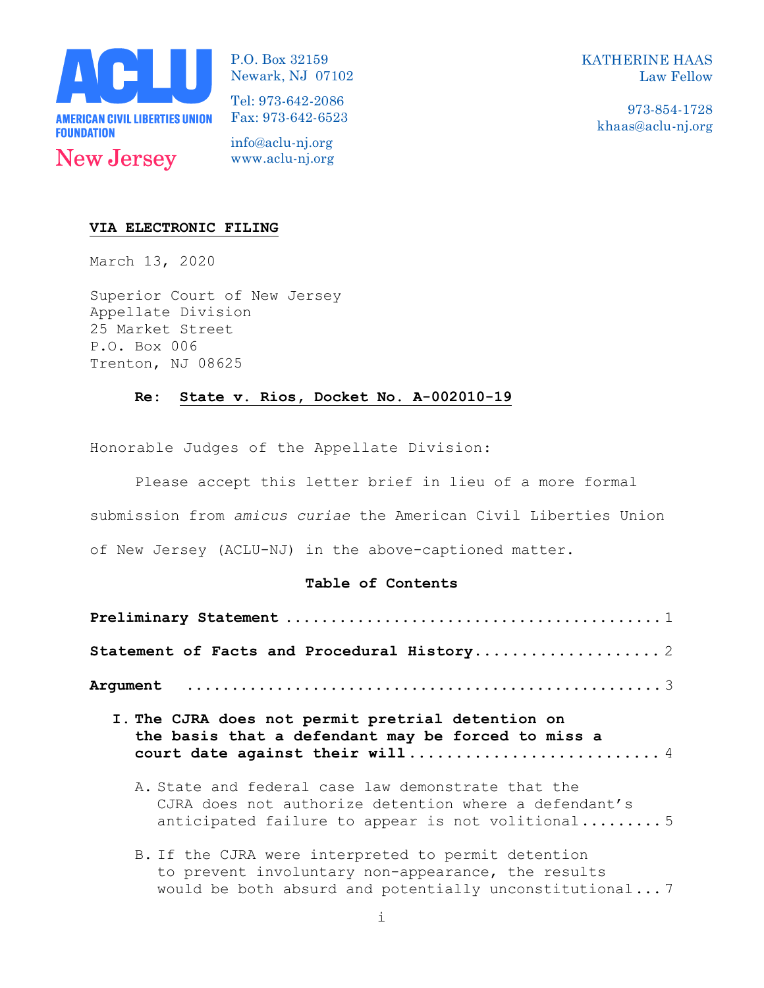

P.O. Box 32159 Newark, NJ 07102 KATHERINE HAAS Law Fellow

> 973-854-1728 khaas@aclu-nj.org

Tel: 973-642-2086 Fax: 973-642-6523

info@aclu-nj.org www.aclu-nj.org

### **VIA ELECTRONIC FILING**

March 13, 2020

Superior Court of New Jersey Appellate Division 25 Market Street P.O. Box 006 Trenton, NJ 08625

#### **Re: State v. Rios, Docket No. A-002010-19**

Honorable Judges of the Appellate Division:

Please accept this letter brief in lieu of a more formal submission from *amicus curiae* the American Civil Liberties Union

of New Jersey (ACLU-NJ) in the above-captioned matter.

## **Table of Contents**

| I. The CJRA does not permit pretrial detention on<br>the basis that a defendant may be forced to miss a |  |  |  |  |  |  |
|---------------------------------------------------------------------------------------------------------|--|--|--|--|--|--|

B. If the CJRA were interpreted to permit detention to prevent involuntary non-appearance, the results would be both absurd and potentially unconstitutional... 7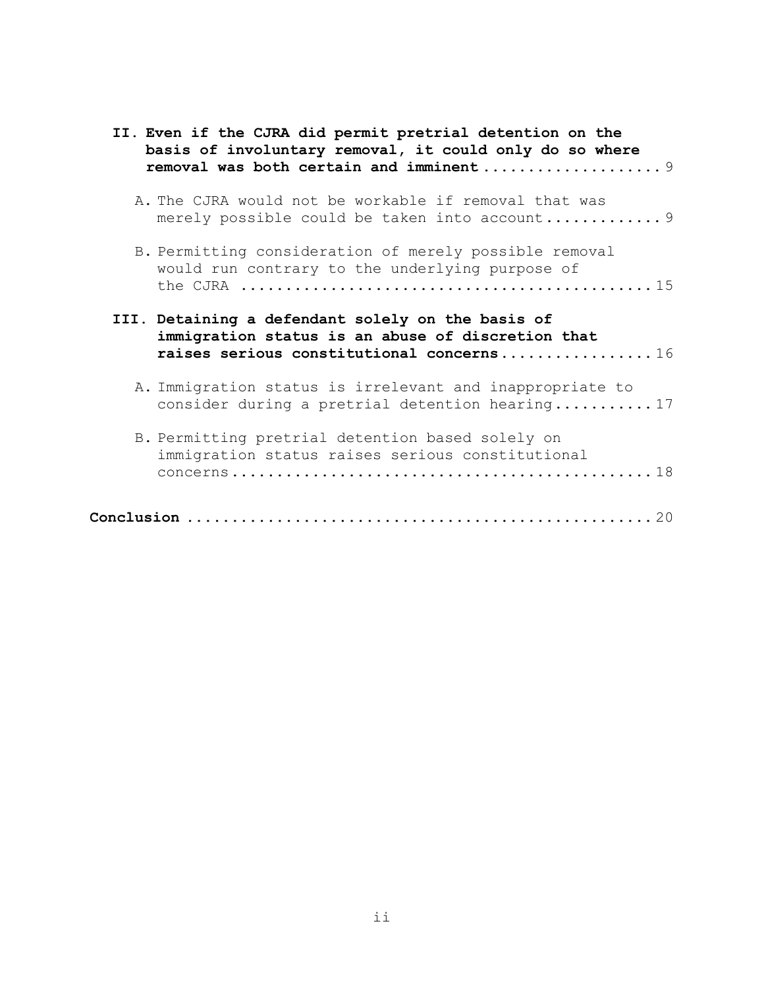| II. Even if the CJRA did permit pretrial detention on the<br>basis of involuntary removal, it could only do so where                                                                             |
|--------------------------------------------------------------------------------------------------------------------------------------------------------------------------------------------------|
| A. The CJRA would not be workable if removal that was                                                                                                                                            |
| B. Permitting consideration of merely possible removal<br>would run contrary to the underlying purpose of<br>the CJRA $\dots\dots\dots\dots\dots\dots\dots\dots\dots\dots\dots\dots\dots\dots15$ |
| III. Detaining a defendant solely on the basis of<br>immigration status is an abuse of discretion that<br>raises serious constitutional concerns16                                               |
| A. Immigration status is irrelevant and inappropriate to<br>consider during a pretrial detention hearing17                                                                                       |
| B. Permitting pretrial detention based solely on<br>immigration status raises serious constitutional                                                                                             |
|                                                                                                                                                                                                  |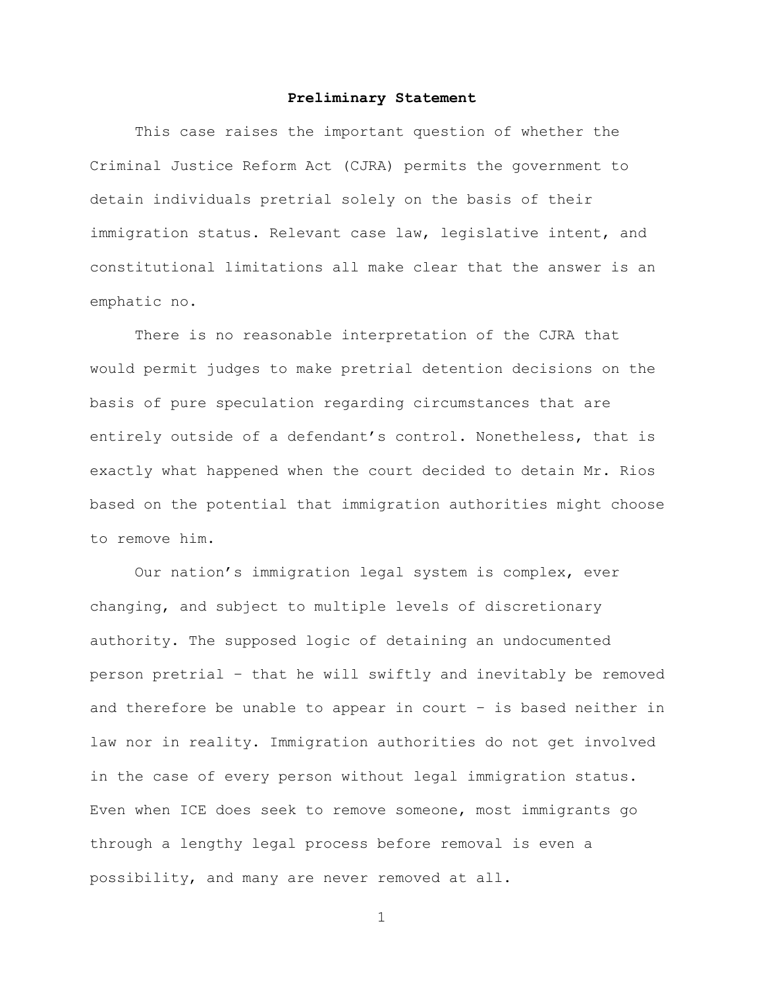#### **Preliminary Statement**

This case raises the important question of whether the Criminal Justice Reform Act (CJRA) permits the government to detain individuals pretrial solely on the basis of their immigration status. Relevant case law, legislative intent, and constitutional limitations all make clear that the answer is an emphatic no.

There is no reasonable interpretation of the CJRA that would permit judges to make pretrial detention decisions on the basis of pure speculation regarding circumstances that are entirely outside of a defendant's control. Nonetheless, that is exactly what happened when the court decided to detain Mr. Rios based on the potential that immigration authorities might choose to remove him.

Our nation's immigration legal system is complex, ever changing, and subject to multiple levels of discretionary authority. The supposed logic of detaining an undocumented person pretrial – that he will swiftly and inevitably be removed and therefore be unable to appear in court – is based neither in law nor in reality. Immigration authorities do not get involved in the case of every person without legal immigration status. Even when ICE does seek to remove someone, most immigrants go through a lengthy legal process before removal is even a possibility, and many are never removed at all.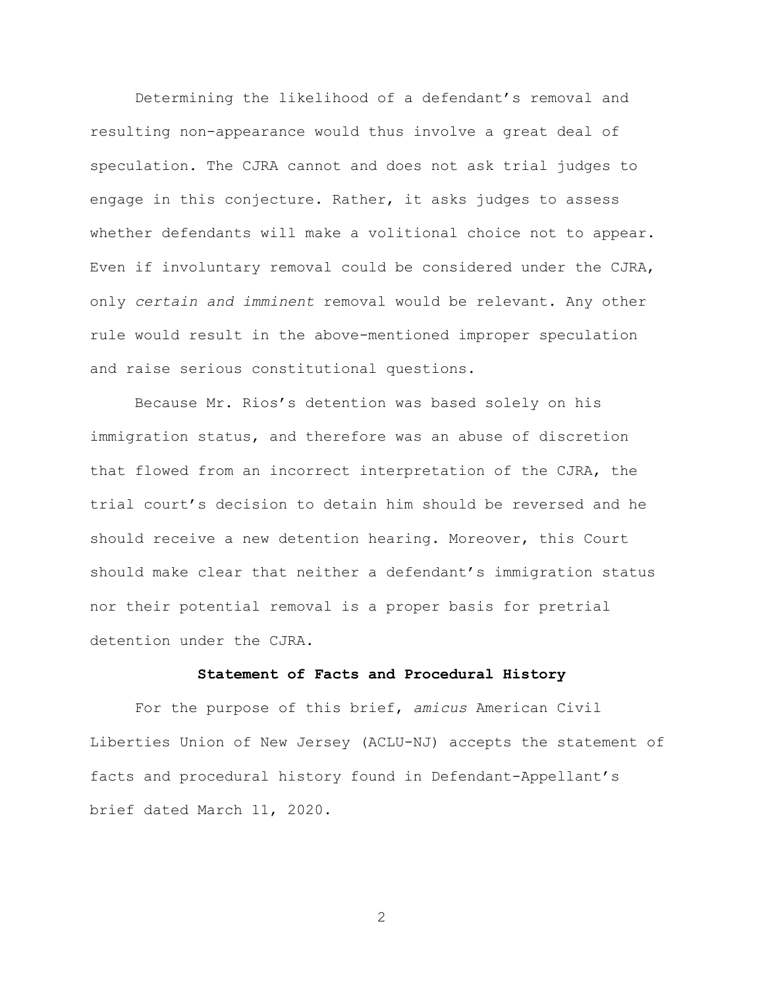Determining the likelihood of a defendant's removal and resulting non-appearance would thus involve a great deal of speculation. The CJRA cannot and does not ask trial judges to engage in this conjecture. Rather, it asks judges to assess whether defendants will make a volitional choice not to appear. Even if involuntary removal could be considered under the CJRA, only *certain and imminent* removal would be relevant. Any other rule would result in the above-mentioned improper speculation and raise serious constitutional questions.

Because Mr. Rios's detention was based solely on his immigration status, and therefore was an abuse of discretion that flowed from an incorrect interpretation of the CJRA, the trial court's decision to detain him should be reversed and he should receive a new detention hearing. Moreover, this Court should make clear that neither a defendant's immigration status nor their potential removal is a proper basis for pretrial detention under the CJRA.

## **Statement of Facts and Procedural History**

For the purpose of this brief, *amicus* American Civil Liberties Union of New Jersey (ACLU-NJ) accepts the statement of facts and procedural history found in Defendant-Appellant's brief dated March 11, 2020.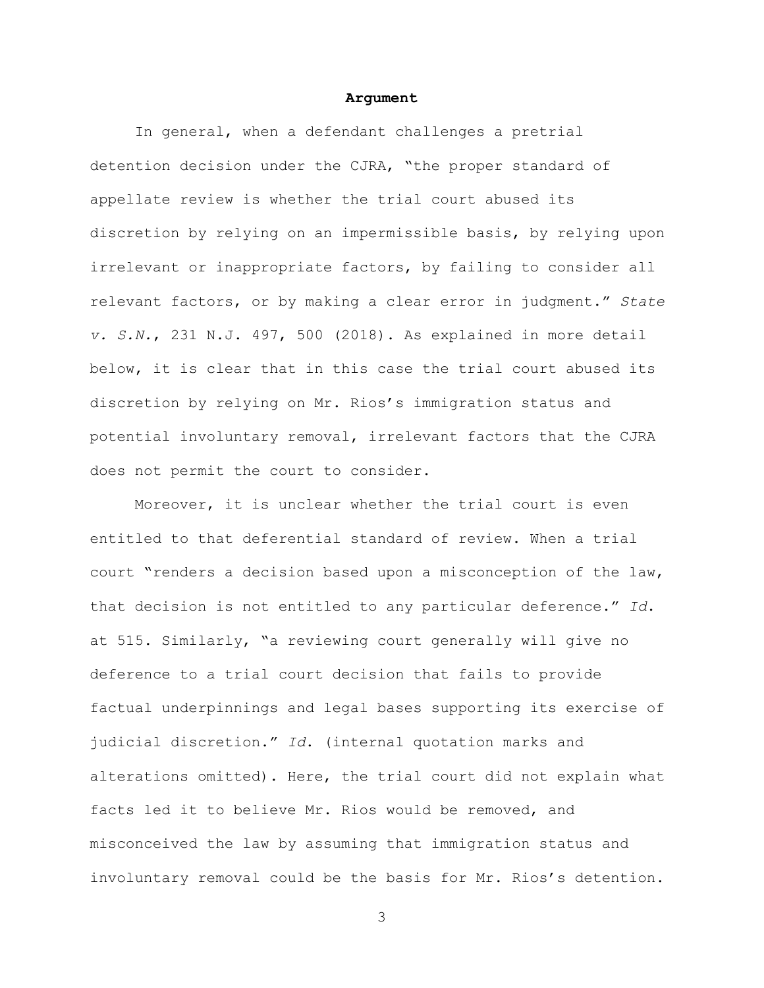#### **Argument**

In general, when a defendant challenges a pretrial detention decision under the CJRA, "the proper standard of appellate review is whether the trial court abused its discretion by relying on an impermissible basis, by relying upon irrelevant or inappropriate factors, by failing to consider all relevant factors, or by making a clear error in judgment." *State v. S.N.*, 231 N.J. 497, 500 (2018). As explained in more detail below, it is clear that in this case the trial court abused its discretion by relying on Mr. Rios's immigration status and potential involuntary removal, irrelevant factors that the CJRA does not permit the court to consider.

Moreover, it is unclear whether the trial court is even entitled to that deferential standard of review. When a trial court "renders a decision based upon a misconception of the law, that decision is not entitled to any particular deference." *Id*. at 515. Similarly, "a reviewing court generally will give no deference to a trial court decision that fails to provide factual underpinnings and legal bases supporting its exercise of judicial discretion." *Id*. (internal quotation marks and alterations omitted). Here, the trial court did not explain what facts led it to believe Mr. Rios would be removed, and misconceived the law by assuming that immigration status and involuntary removal could be the basis for Mr. Rios's detention.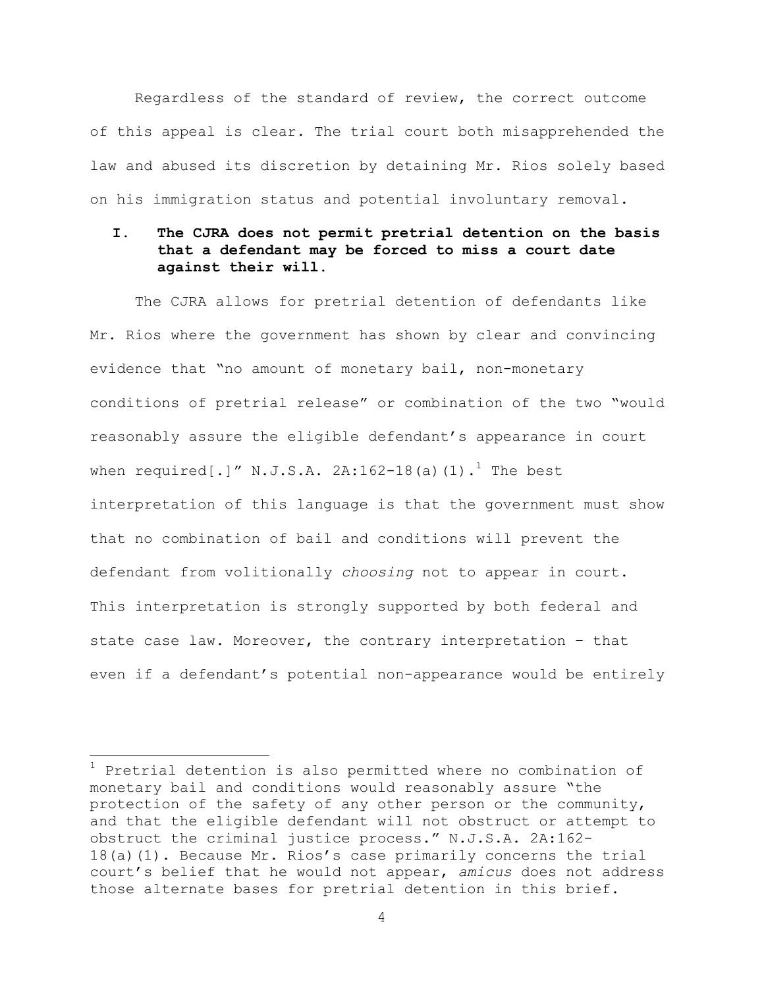Regardless of the standard of review, the correct outcome of this appeal is clear. The trial court both misapprehended the law and abused its discretion by detaining Mr. Rios solely based on his immigration status and potential involuntary removal.

# **I. The CJRA does not permit pretrial detention on the basis that a defendant may be forced to miss a court date against their will.**

The CJRA allows for pretrial detention of defendants like Mr. Rios where the government has shown by clear and convincing evidence that "no amount of monetary bail, non-monetary conditions of pretrial release" or combination of the two "would reasonably assure the eligible defendant's appearance in court when required[.]" N.J.S.A. 2A:162-18(a)(1).<sup>1</sup> The best interpretation of this language is that the government must show that no combination of bail and conditions will prevent the defendant from volitionally *choosing* not to appear in court. This interpretation is strongly supported by both federal and state case law. Moreover, the contrary interpretation – that even if a defendant's potential non-appearance would be entirely

 $1$  Pretrial detention is also permitted where no combination of monetary bail and conditions would reasonably assure "the protection of the safety of any other person or the community, and that the eligible defendant will not obstruct or attempt to obstruct the criminal justice process." N.J.S.A. 2A:162- 18(a)(1). Because Mr. Rios's case primarily concerns the trial court's belief that he would not appear, *amicus* does not address those alternate bases for pretrial detention in this brief.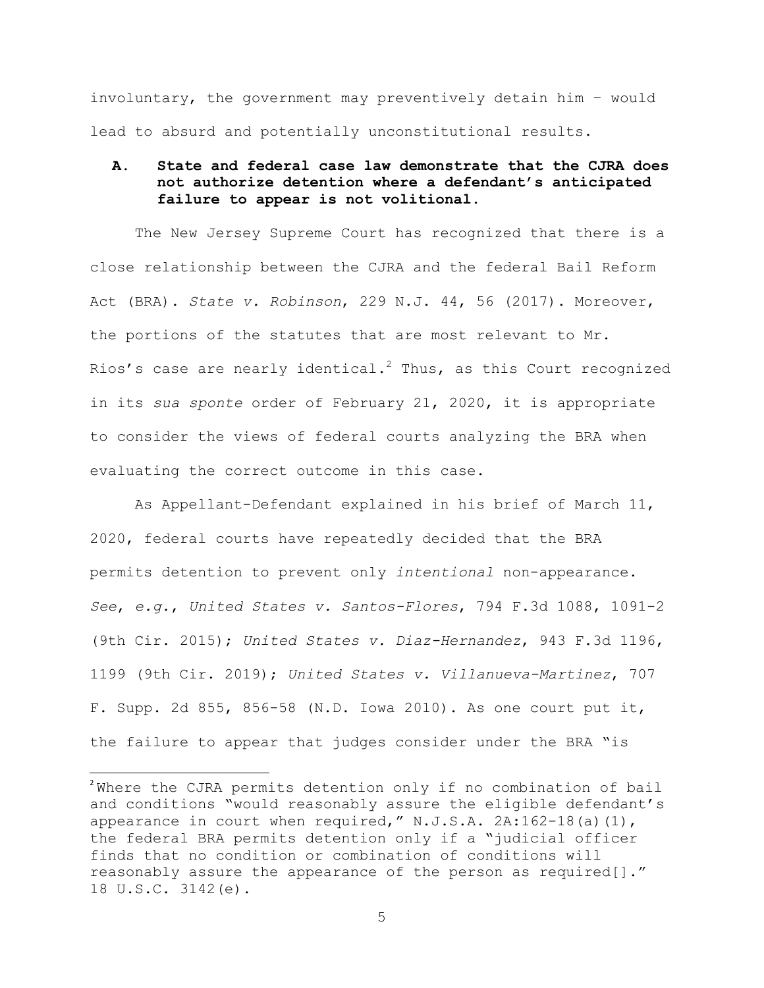involuntary, the government may preventively detain him – would lead to absurd and potentially unconstitutional results.

# **A. State and federal case law demonstrate that the CJRA does not authorize detention where a defendant's anticipated failure to appear is not volitional.**

The New Jersey Supreme Court has recognized that there is a close relationship between the CJRA and the federal Bail Reform Act (BRA). *State v. Robinson*, 229 N.J. 44, 56 (2017). Moreover, the portions of the statutes that are most relevant to Mr. Rios's case are nearly identical.<sup>2</sup> Thus, as this Court recognized in its *sua sponte* order of February 21, 2020, it is appropriate to consider the views of federal courts analyzing the BRA when evaluating the correct outcome in this case.

As Appellant-Defendant explained in his brief of March 11, 2020, federal courts have repeatedly decided that the BRA permits detention to prevent only *intentional* non-appearance. *See*, *e.g*., *United States v. Santos-Flores*, 794 F.3d 1088, 1091-2 (9th Cir. 2015); *United States v. Diaz-Hernandez*, 943 F.3d 1196, 1199 (9th Cir. 2019); *United States v. Villanueva-Martinez*, 707 F. Supp. 2d 855, 856-58 (N.D. Iowa 2010). As one court put it, the failure to appear that judges consider under the BRA "is

<u> 1989 - Johann Stein, markin film yn y breninn y breninn y breninn y breninn y breninn y breninn y breninn y b</u>

 $2$ Where the CJRA permits detention only if no combination of bail and conditions "would reasonably assure the eligible defendant's appearance in court when required,"  $N.J.S.A. 2A:162-18(a)(1)$ , the federal BRA permits detention only if a "judicial officer finds that no condition or combination of conditions will reasonably assure the appearance of the person as required[]." 18 U.S.C. 3142(e).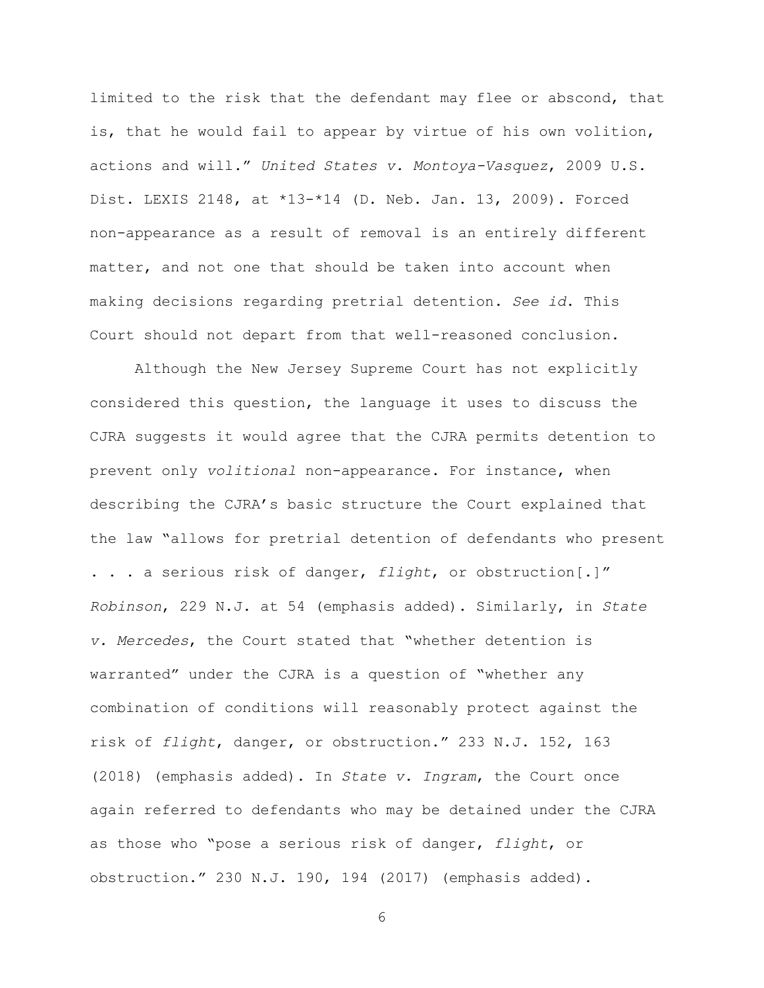limited to the risk that the defendant may flee or abscond, that is, that he would fail to appear by virtue of his own volition, actions and will." *United States v. Montoya-Vasquez*, 2009 U.S. Dist. LEXIS 2148, at \*13-\*14 (D. Neb. Jan. 13, 2009). Forced non-appearance as a result of removal is an entirely different matter, and not one that should be taken into account when making decisions regarding pretrial detention. *See id*. This Court should not depart from that well-reasoned conclusion.

Although the New Jersey Supreme Court has not explicitly considered this question, the language it uses to discuss the CJRA suggests it would agree that the CJRA permits detention to prevent only *volitional* non-appearance. For instance, when describing the CJRA's basic structure the Court explained that the law "allows for pretrial detention of defendants who present . . . a serious risk of danger, *flight*, or obstruction[.]" *Robinson*, 229 N.J. at 54 (emphasis added). Similarly, in *State v. Mercedes*, the Court stated that "whether detention is warranted" under the CJRA is a question of "whether any combination of conditions will reasonably protect against the risk of *flight*, danger, or obstruction." 233 N.J. 152, 163 (2018) (emphasis added). In *State v. Ingram*, the Court once again referred to defendants who may be detained under the CJRA as those who "pose a serious risk of danger, *flight*, or obstruction." 230 N.J. 190, 194 (2017) (emphasis added).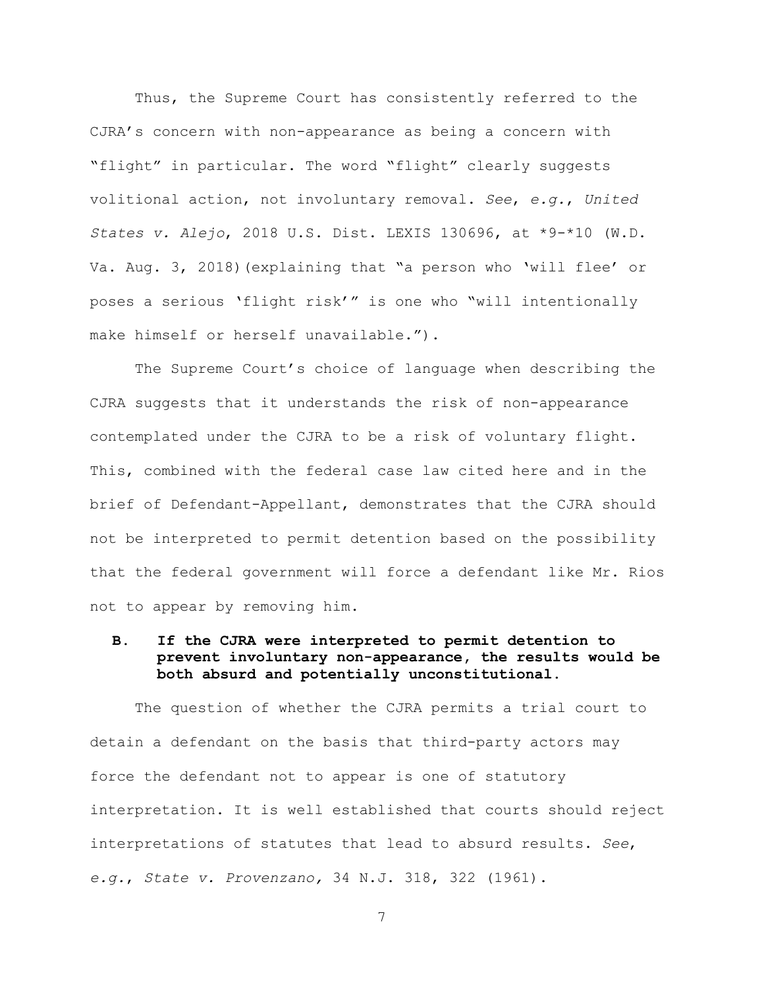Thus, the Supreme Court has consistently referred to the CJRA's concern with non-appearance as being a concern with "flight" in particular. The word "flight" clearly suggests volitional action, not involuntary removal. *See*, *e.g.*, *United States v. Alejo*, 2018 U.S. Dist. LEXIS 130696, at \*9-\*10 (W.D. Va. Aug. 3, 2018)(explaining that "a person who 'will flee' or poses a serious 'flight risk'" is one who "will intentionally make himself or herself unavailable.").

The Supreme Court's choice of language when describing the CJRA suggests that it understands the risk of non-appearance contemplated under the CJRA to be a risk of voluntary flight. This, combined with the federal case law cited here and in the brief of Defendant-Appellant, demonstrates that the CJRA should not be interpreted to permit detention based on the possibility that the federal government will force a defendant like Mr. Rios not to appear by removing him.

# **B. If the CJRA were interpreted to permit detention to prevent involuntary non-appearance, the results would be both absurd and potentially unconstitutional.**

The question of whether the CJRA permits a trial court to detain a defendant on the basis that third-party actors may force the defendant not to appear is one of statutory interpretation. It is well established that courts should reject interpretations of statutes that lead to absurd results. *See*, *e.g.*, *State v. Provenzano,* 34 N.J. 318, 322 (1961).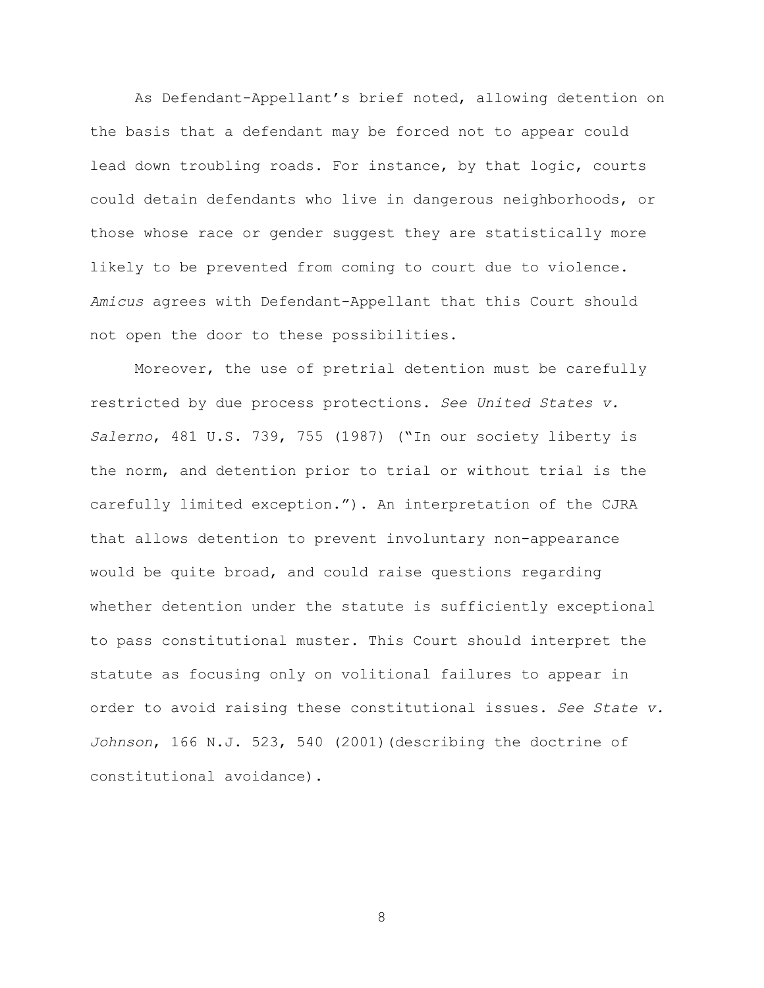As Defendant-Appellant's brief noted, allowing detention on the basis that a defendant may be forced not to appear could lead down troubling roads. For instance, by that logic, courts could detain defendants who live in dangerous neighborhoods, or those whose race or gender suggest they are statistically more likely to be prevented from coming to court due to violence. *Amicus* agrees with Defendant-Appellant that this Court should not open the door to these possibilities.

Moreover, the use of pretrial detention must be carefully restricted by due process protections. *See United States v. Salerno*, 481 U.S. 739, 755 (1987) ("In our society liberty is the norm, and detention prior to trial or without trial is the carefully limited exception."). An interpretation of the CJRA that allows detention to prevent involuntary non-appearance would be quite broad, and could raise questions regarding whether detention under the statute is sufficiently exceptional to pass constitutional muster. This Court should interpret the statute as focusing only on volitional failures to appear in order to avoid raising these constitutional issues. *See State v. Johnson*, 166 N.J. 523, 540 (2001)(describing the doctrine of constitutional avoidance).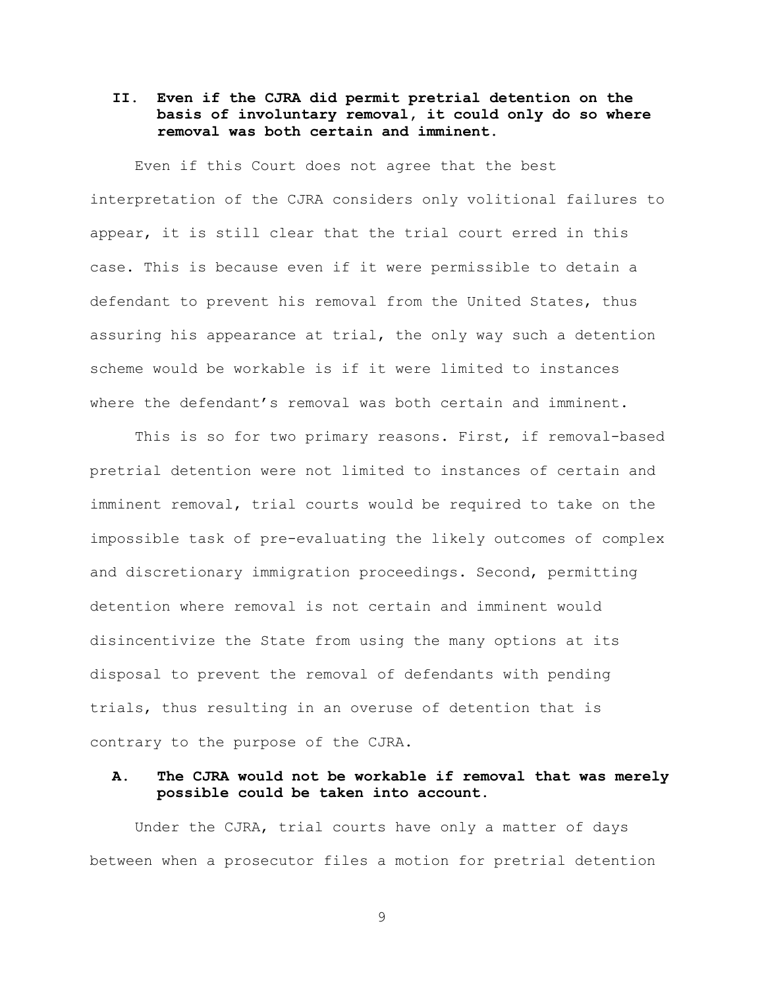# **II. Even if the CJRA did permit pretrial detention on the basis of involuntary removal, it could only do so where removal was both certain and imminent.**

Even if this Court does not agree that the best interpretation of the CJRA considers only volitional failures to appear, it is still clear that the trial court erred in this case. This is because even if it were permissible to detain a defendant to prevent his removal from the United States, thus assuring his appearance at trial, the only way such a detention scheme would be workable is if it were limited to instances where the defendant's removal was both certain and imminent.

This is so for two primary reasons. First, if removal-based pretrial detention were not limited to instances of certain and imminent removal, trial courts would be required to take on the impossible task of pre-evaluating the likely outcomes of complex and discretionary immigration proceedings. Second, permitting detention where removal is not certain and imminent would disincentivize the State from using the many options at its disposal to prevent the removal of defendants with pending trials, thus resulting in an overuse of detention that is contrary to the purpose of the CJRA.

## **A. The CJRA would not be workable if removal that was merely possible could be taken into account.**

Under the CJRA, trial courts have only a matter of days between when a prosecutor files a motion for pretrial detention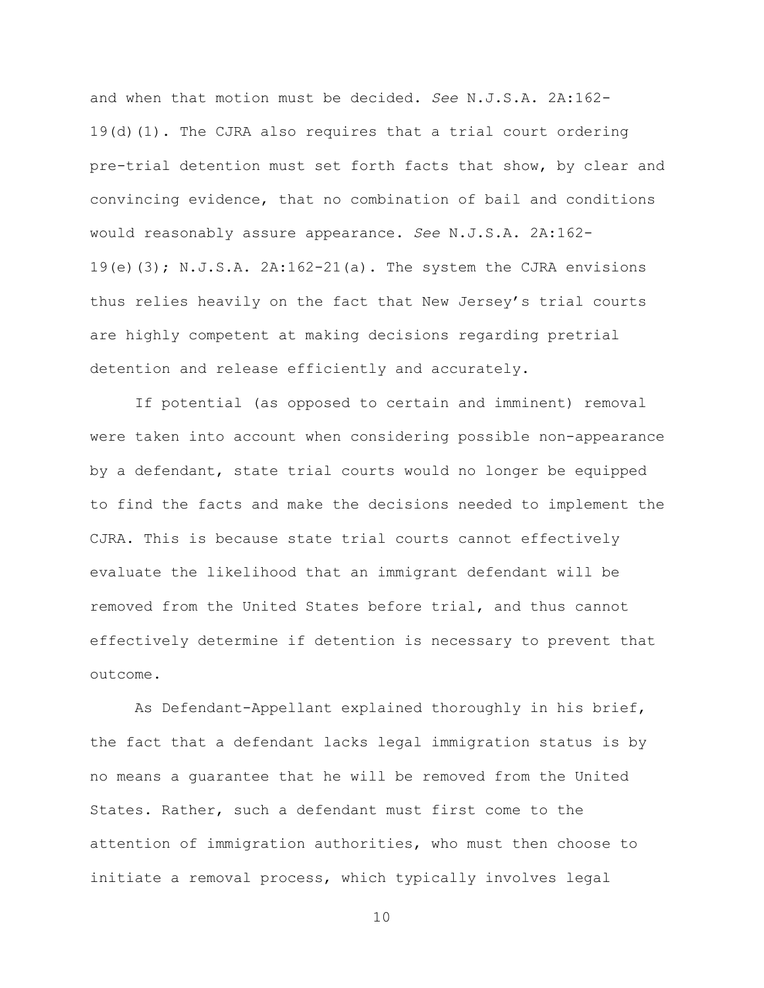and when that motion must be decided. *See* N.J.S.A. 2A:162- 19(d)(1). The CJRA also requires that a trial court ordering pre-trial detention must set forth facts that show, by clear and convincing evidence, that no combination of bail and conditions would reasonably assure appearance. *See* N.J.S.A. 2A:162- 19(e)(3); N.J.S.A. 2A:162-21(a). The system the CJRA envisions thus relies heavily on the fact that New Jersey's trial courts are highly competent at making decisions regarding pretrial detention and release efficiently and accurately.

If potential (as opposed to certain and imminent) removal were taken into account when considering possible non-appearance by a defendant, state trial courts would no longer be equipped to find the facts and make the decisions needed to implement the CJRA. This is because state trial courts cannot effectively evaluate the likelihood that an immigrant defendant will be removed from the United States before trial, and thus cannot effectively determine if detention is necessary to prevent that outcome.

As Defendant-Appellant explained thoroughly in his brief, the fact that a defendant lacks legal immigration status is by no means a guarantee that he will be removed from the United States. Rather, such a defendant must first come to the attention of immigration authorities, who must then choose to initiate a removal process, which typically involves legal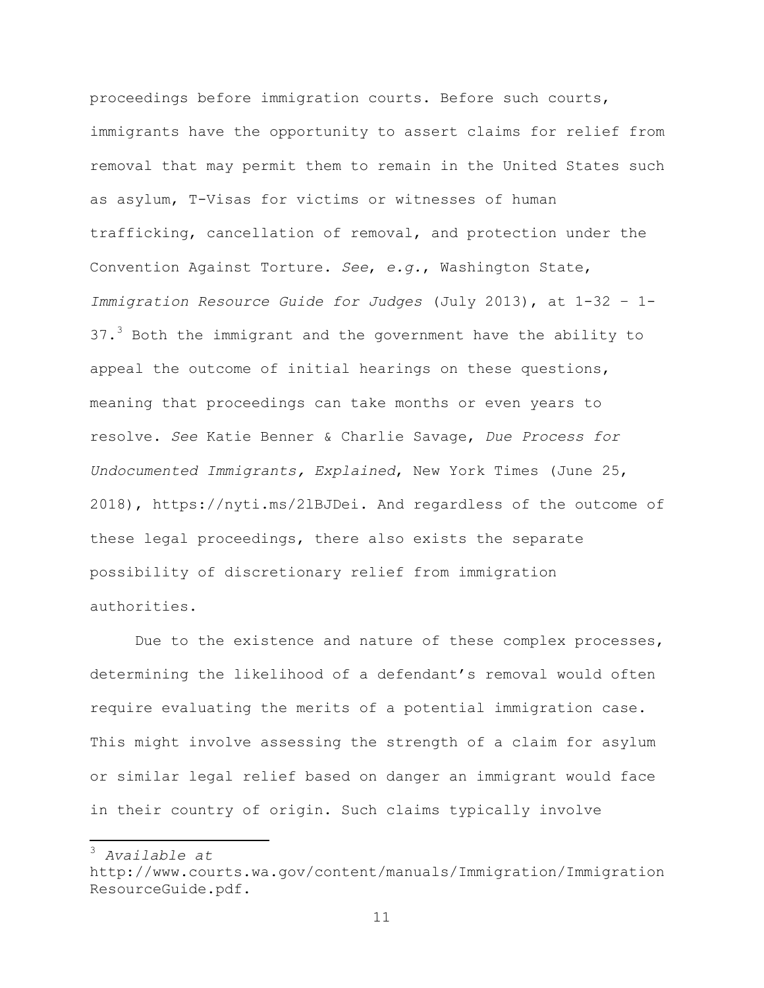proceedings before immigration courts. Before such courts, immigrants have the opportunity to assert claims for relief from removal that may permit them to remain in the United States such as asylum, T-Visas for victims or witnesses of human trafficking, cancellation of removal, and protection under the Convention Against Torture. *See*, *e.g.*, Washington State, *Immigration Resource Guide for Judges* (July 2013), at 1-32 – 1-  $37.3$  Both the immigrant and the government have the ability to appeal the outcome of initial hearings on these questions, meaning that proceedings can take months or even years to resolve. *See* Katie Benner & Charlie Savage, *Due Process for Undocumented Immigrants, Explained*, New York Times (June 25, 2018), https://nyti.ms/2lBJDei. And regardless of the outcome of these legal proceedings, there also exists the separate possibility of discretionary relief from immigration authorities.

Due to the existence and nature of these complex processes, determining the likelihood of a defendant's removal would often require evaluating the merits of a potential immigration case. This might involve assessing the strength of a claim for asylum or similar legal relief based on danger an immigrant would face in their country of origin. Such claims typically involve

 <sup>3</sup> *Available at*

http://www.courts.wa.gov/content/manuals/Immigration/Immigration ResourceGuide.pdf.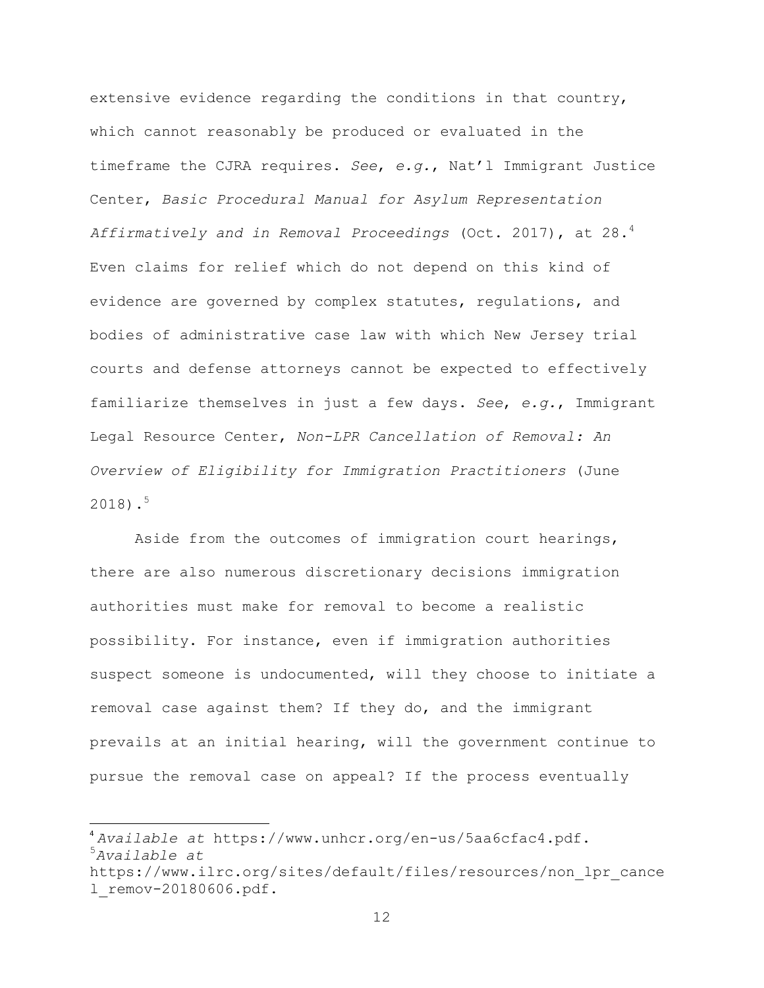extensive evidence regarding the conditions in that country, which cannot reasonably be produced or evaluated in the timeframe the CJRA requires. *See*, *e.g.*, Nat'l Immigrant Justice Center, *Basic Procedural Manual for Asylum Representation Affirmatively and in Removal Proceedings* (Oct. 2017), at 28.4 Even claims for relief which do not depend on this kind of evidence are governed by complex statutes, regulations, and bodies of administrative case law with which New Jersey trial courts and defense attorneys cannot be expected to effectively familiarize themselves in just a few days. *See*, *e.g.*, Immigrant Legal Resource Center, *Non-LPR Cancellation of Removal: An Overview of Eligibility for Immigration Practitioners* (June  $2018$ ).<sup>5</sup>

Aside from the outcomes of immigration court hearings, there are also numerous discretionary decisions immigration authorities must make for removal to become a realistic possibility. For instance, even if immigration authorities suspect someone is undocumented, will they choose to initiate a removal case against them? If they do, and the immigrant prevails at an initial hearing, will the government continue to pursue the removal case on appeal? If the process eventually

<u> 1989 - Johann Stein, markin film yn y breninn y breninn y breninn y breninn y breninn y breninn y breninn y b</u>

<sup>4</sup> *Available at* https://www.unhcr.org/en-us/5aa6cfac4.pdf. <sup>5</sup>

*Available at*

https://www.ilrc.org/sites/default/files/resources/non\_lpr\_cance l\_remov-20180606.pdf.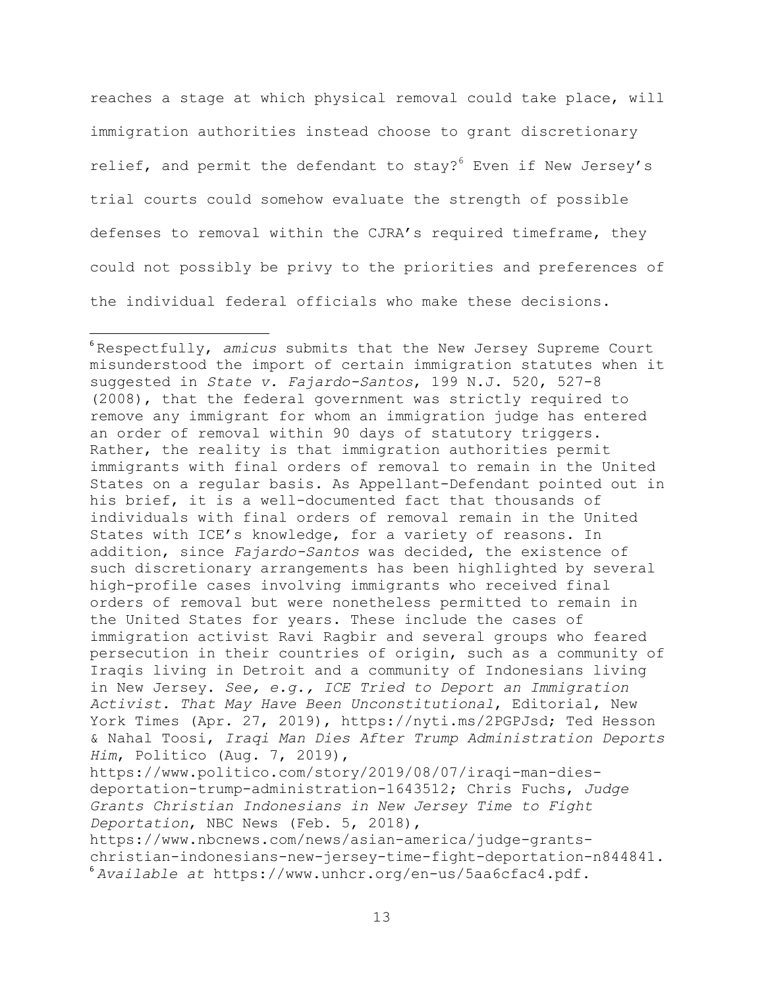reaches a stage at which physical removal could take place, will immigration authorities instead choose to grant discretionary relief, and permit the defendant to stay? $6$  Even if New Jersey's trial courts could somehow evaluate the strength of possible defenses to removal within the CJRA's required timeframe, they could not possibly be privy to the priorities and preferences of the individual federal officials who make these decisions.

<u> 1989 - Johann Stein, markin film yn y breninn y breninn y breninn y breninn y breninn y breninn y breninn y b</u>

https://www.nbcnews.com/news/asian-america/judge-grantschristian-indonesians-new-jersey-time-fight-deportation-n844841. <sup>6</sup> *Available at* https://www.unhcr.org/en-us/5aa6cfac4.pdf.

<sup>6</sup> Respectfully, *amicus* submits that the New Jersey Supreme Court misunderstood the import of certain immigration statutes when it suggested in *State v. Fajardo-Santos*, 199 N.J. 520, 527-8 (2008), that the federal government was strictly required to remove any immigrant for whom an immigration judge has entered an order of removal within 90 days of statutory triggers. Rather, the reality is that immigration authorities permit immigrants with final orders of removal to remain in the United States on a regular basis. As Appellant-Defendant pointed out in his brief, it is a well-documented fact that thousands of individuals with final orders of removal remain in the United States with ICE's knowledge, for a variety of reasons. In addition, since *Fajardo-Santos* was decided, the existence of such discretionary arrangements has been highlighted by several high-profile cases involving immigrants who received final orders of removal but were nonetheless permitted to remain in the United States for years. These include the cases of immigration activist Ravi Ragbir and several groups who feared persecution in their countries of origin, such as a community of Iraqis living in Detroit and a community of Indonesians living in New Jersey. *See, e.g., ICE Tried to Deport an Immigration Activist. That May Have Been Unconstitutional*, Editorial, New York Times (Apr. 27, 2019), https://nyti.ms/2PGPJsd; Ted Hesson & Nahal Toosi, *Iraqi Man Dies After Trump Administration Deports Him*, Politico (Aug. 7, 2019), https://www.politico.com/story/2019/08/07/iraqi-man-diesdeportation-trump-administration-1643512; Chris Fuchs, *Judge Grants Christian Indonesians in New Jersey Time to Fight Deportation*, NBC News (Feb. 5, 2018),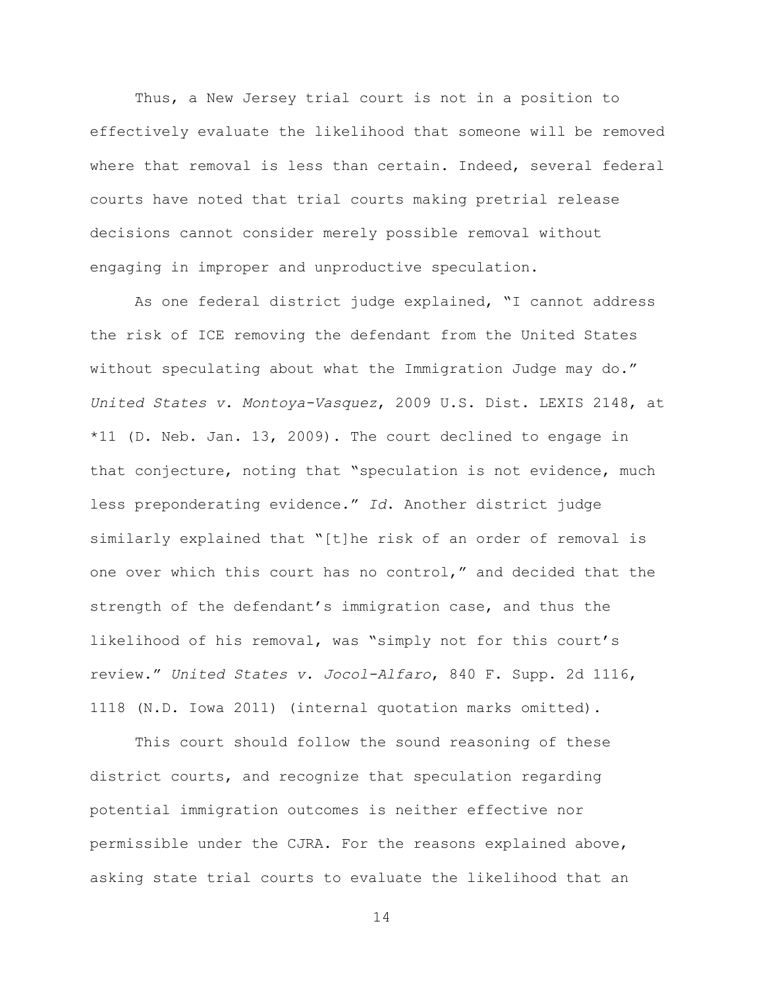Thus, a New Jersey trial court is not in a position to effectively evaluate the likelihood that someone will be removed where that removal is less than certain. Indeed, several federal courts have noted that trial courts making pretrial release decisions cannot consider merely possible removal without engaging in improper and unproductive speculation.

As one federal district judge explained, "I cannot address the risk of ICE removing the defendant from the United States without speculating about what the Immigration Judge may do." *United States v. Montoya-Vasquez*, 2009 U.S. Dist. LEXIS 2148, at \*11 (D. Neb. Jan. 13, 2009). The court declined to engage in that conjecture, noting that "speculation is not evidence, much less preponderating evidence." *Id*. Another district judge similarly explained that "[t]he risk of an order of removal is one over which this court has no control," and decided that the strength of the defendant's immigration case, and thus the likelihood of his removal, was "simply not for this court's review." *United States v. Jocol-Alfaro*, 840 F. Supp. 2d 1116, 1118 (N.D. Iowa 2011) (internal quotation marks omitted).

This court should follow the sound reasoning of these district courts, and recognize that speculation regarding potential immigration outcomes is neither effective nor permissible under the CJRA. For the reasons explained above, asking state trial courts to evaluate the likelihood that an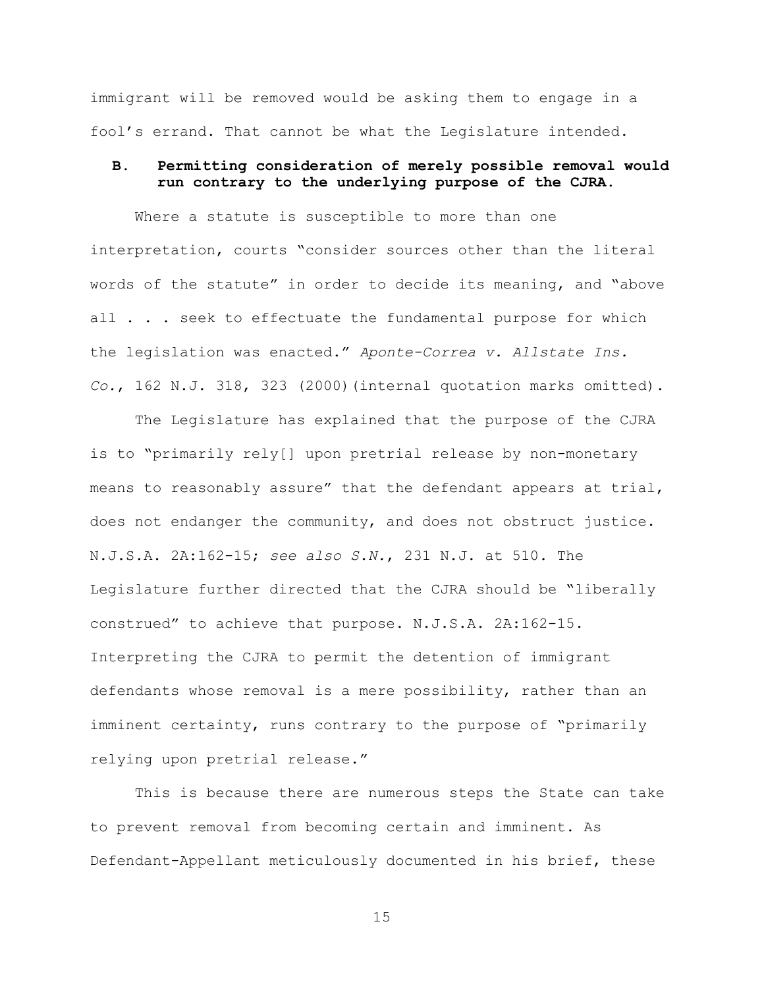immigrant will be removed would be asking them to engage in a fool's errand. That cannot be what the Legislature intended.

# **B. Permitting consideration of merely possible removal would run contrary to the underlying purpose of the CJRA.**

Where a statute is susceptible to more than one interpretation, courts "consider sources other than the literal words of the statute" in order to decide its meaning, and "above all . . . seek to effectuate the fundamental purpose for which the legislation was enacted." *Aponte-Correa v. Allstate Ins. Co.*, 162 N.J. 318, 323 (2000)(internal quotation marks omitted).

The Legislature has explained that the purpose of the CJRA is to "primarily rely[] upon pretrial release by non-monetary means to reasonably assure" that the defendant appears at trial, does not endanger the community, and does not obstruct justice. N.J.S.A. 2A:162-15; *see also S.N.*, 231 N.J. at 510. The Legislature further directed that the CJRA should be "liberally construed" to achieve that purpose. N.J.S.A. 2A:162-15. Interpreting the CJRA to permit the detention of immigrant defendants whose removal is a mere possibility, rather than an imminent certainty, runs contrary to the purpose of "primarily relying upon pretrial release."

This is because there are numerous steps the State can take to prevent removal from becoming certain and imminent. As Defendant-Appellant meticulously documented in his brief, these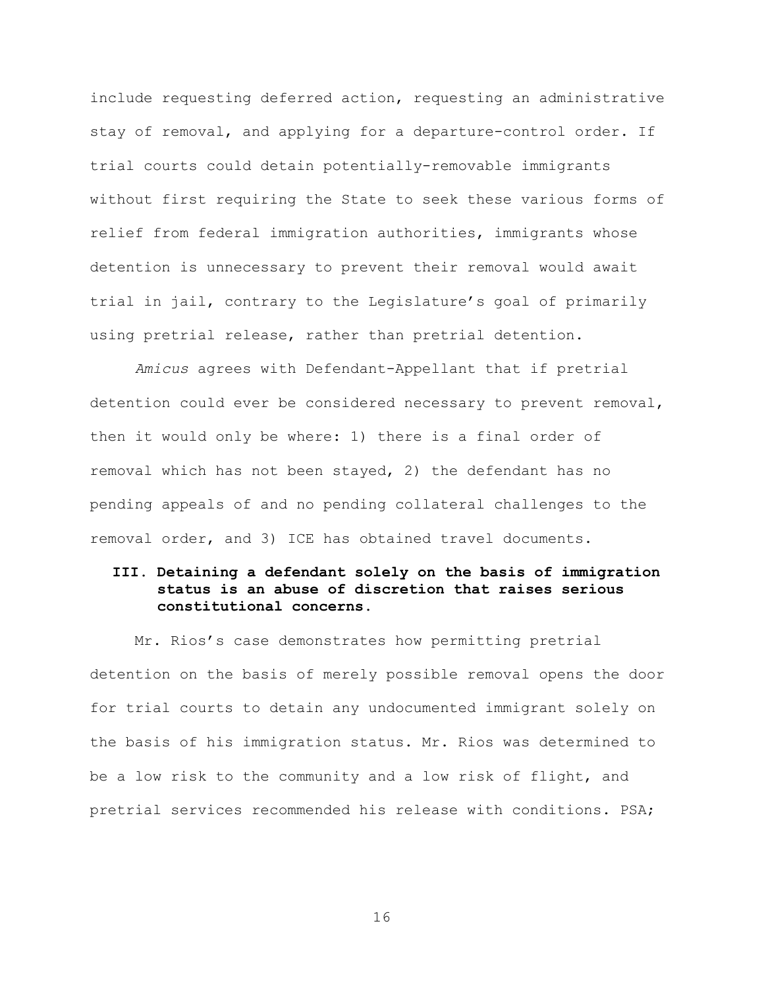include requesting deferred action, requesting an administrative stay of removal, and applying for a departure-control order. If trial courts could detain potentially-removable immigrants without first requiring the State to seek these various forms of relief from federal immigration authorities, immigrants whose detention is unnecessary to prevent their removal would await trial in jail, contrary to the Legislature's goal of primarily using pretrial release, rather than pretrial detention.

*Amicus* agrees with Defendant-Appellant that if pretrial detention could ever be considered necessary to prevent removal, then it would only be where: 1) there is a final order of removal which has not been stayed, 2) the defendant has no pending appeals of and no pending collateral challenges to the removal order, and 3) ICE has obtained travel documents.

# **III. Detaining a defendant solely on the basis of immigration status is an abuse of discretion that raises serious constitutional concerns.**

Mr. Rios's case demonstrates how permitting pretrial detention on the basis of merely possible removal opens the door for trial courts to detain any undocumented immigrant solely on the basis of his immigration status. Mr. Rios was determined to be a low risk to the community and a low risk of flight, and pretrial services recommended his release with conditions. PSA;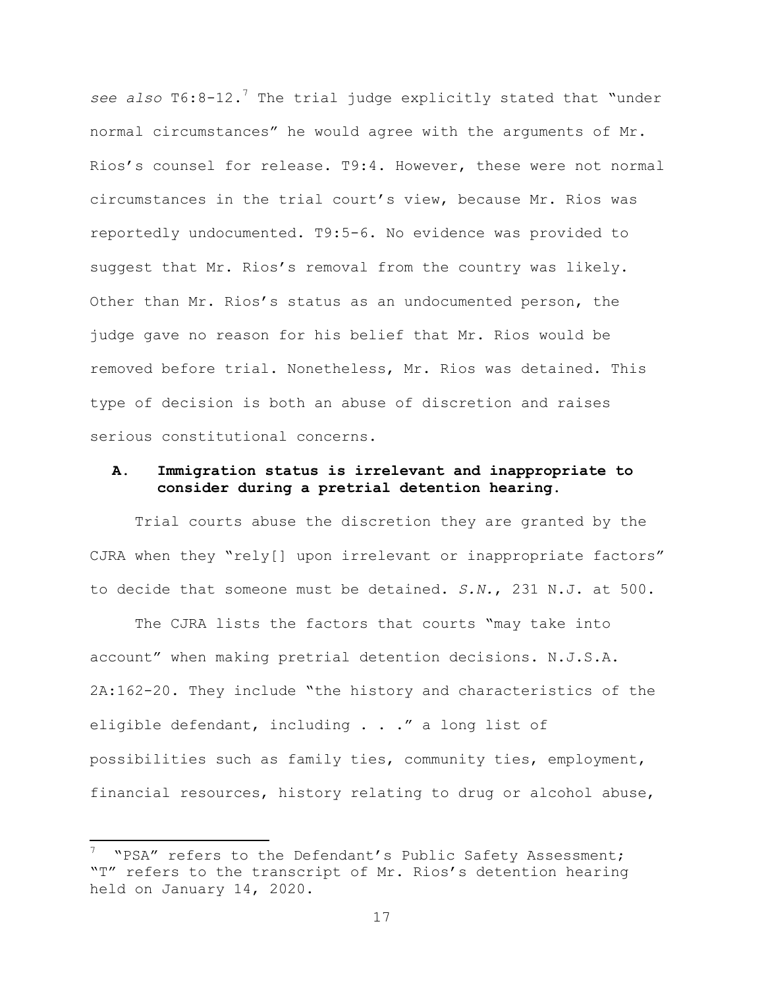see also T6:8-12.<sup>7</sup> The trial judge explicitly stated that "under normal circumstances" he would agree with the arguments of Mr. Rios's counsel for release. T9:4. However, these were not normal circumstances in the trial court's view, because Mr. Rios was reportedly undocumented. T9:5-6. No evidence was provided to suggest that Mr. Rios's removal from the country was likely. Other than Mr. Rios's status as an undocumented person, the judge gave no reason for his belief that Mr. Rios would be removed before trial. Nonetheless, Mr. Rios was detained. This type of decision is both an abuse of discretion and raises serious constitutional concerns.

### **A. Immigration status is irrelevant and inappropriate to consider during a pretrial detention hearing.**

Trial courts abuse the discretion they are granted by the CJRA when they "rely[] upon irrelevant or inappropriate factors" to decide that someone must be detained. *S.N.*, 231 N.J. at 500.

The CJRA lists the factors that courts "may take into account" when making pretrial detention decisions. N.J.S.A. 2A:162-20. They include "the history and characteristics of the eligible defendant, including . . ." a long list of possibilities such as family ties, community ties, employment, financial resources, history relating to drug or alcohol abuse,

 <sup>7</sup> "PSA" refers to the Defendant's Public Safety Assessment; "T" refers to the transcript of Mr. Rios's detention hearing held on January 14, 2020.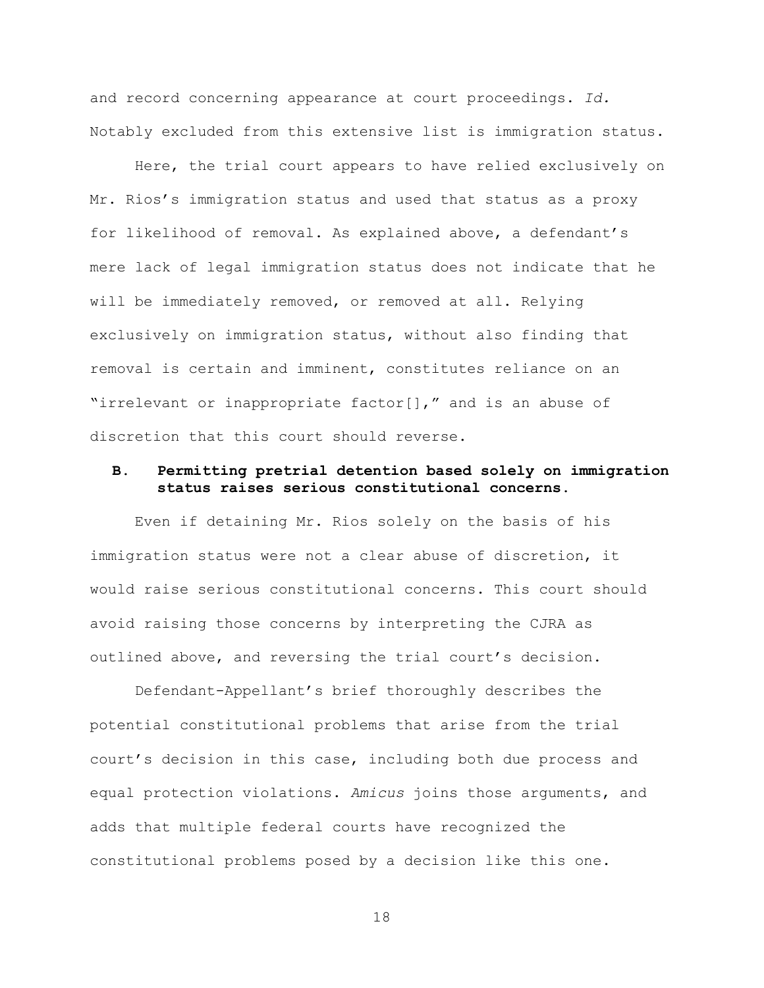and record concerning appearance at court proceedings. *Id.* Notably excluded from this extensive list is immigration status.

Here, the trial court appears to have relied exclusively on Mr. Rios's immigration status and used that status as a proxy for likelihood of removal. As explained above, a defendant's mere lack of legal immigration status does not indicate that he will be immediately removed, or removed at all. Relying exclusively on immigration status, without also finding that removal is certain and imminent, constitutes reliance on an "irrelevant or inappropriate factor[]," and is an abuse of discretion that this court should reverse.

### **B. Permitting pretrial detention based solely on immigration status raises serious constitutional concerns.**

Even if detaining Mr. Rios solely on the basis of his immigration status were not a clear abuse of discretion, it would raise serious constitutional concerns. This court should avoid raising those concerns by interpreting the CJRA as outlined above, and reversing the trial court's decision.

Defendant-Appellant's brief thoroughly describes the potential constitutional problems that arise from the trial court's decision in this case, including both due process and equal protection violations. *Amicus* joins those arguments, and adds that multiple federal courts have recognized the constitutional problems posed by a decision like this one.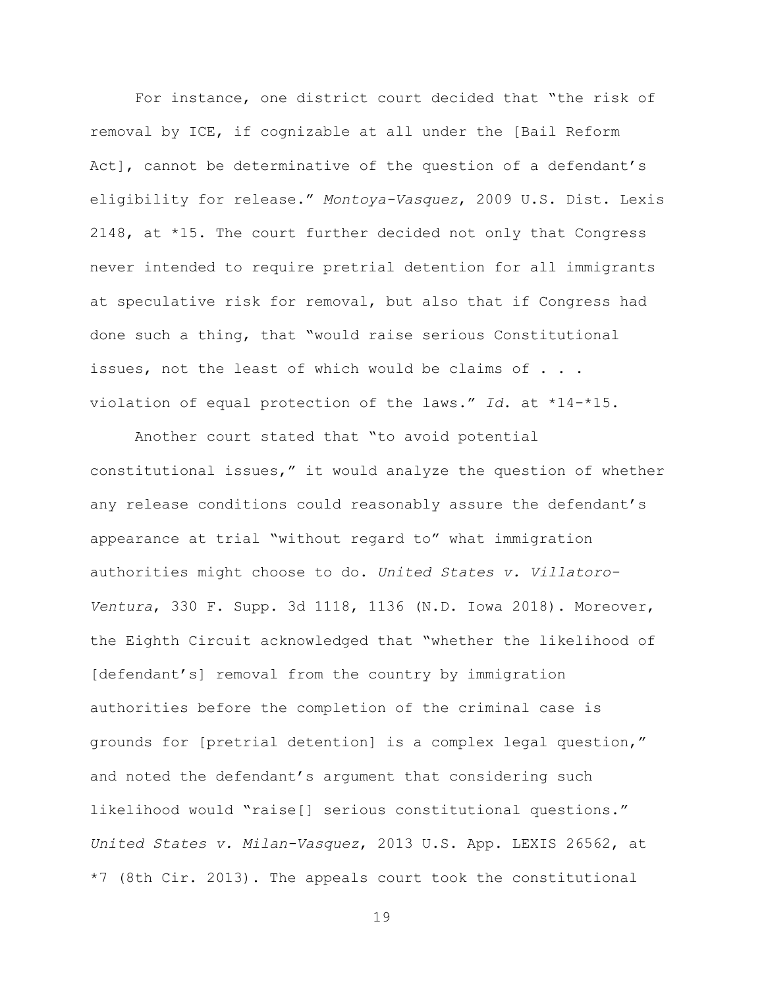For instance, one district court decided that "the risk of removal by ICE, if cognizable at all under the [Bail Reform Act], cannot be determinative of the question of a defendant's eligibility for release." *Montoya-Vasquez*, 2009 U.S. Dist. Lexis 2148, at \*15. The court further decided not only that Congress never intended to require pretrial detention for all immigrants at speculative risk for removal, but also that if Congress had done such a thing, that "would raise serious Constitutional issues, not the least of which would be claims of . . . violation of equal protection of the laws." *Id*. at \*14-\*15.

Another court stated that "to avoid potential constitutional issues," it would analyze the question of whether any release conditions could reasonably assure the defendant's appearance at trial "without regard to" what immigration authorities might choose to do. *United States v. Villatoro-Ventura*, 330 F. Supp. 3d 1118, 1136 (N.D. Iowa 2018). Moreover, the Eighth Circuit acknowledged that "whether the likelihood of [defendant's] removal from the country by immigration authorities before the completion of the criminal case is grounds for [pretrial detention] is a complex legal question," and noted the defendant's argument that considering such likelihood would "raise[] serious constitutional questions." *United States v. Milan-Vasquez*, 2013 U.S. App. LEXIS 26562, at \*7 (8th Cir. 2013). The appeals court took the constitutional